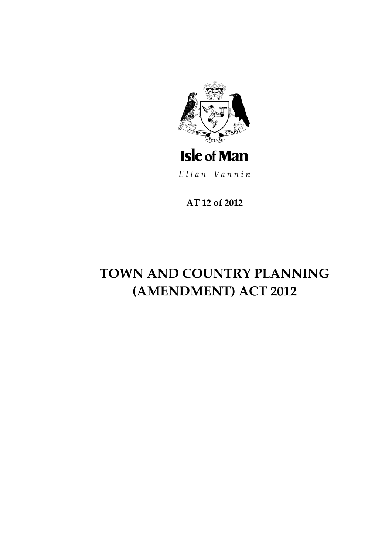

Ellan Vannin

AT 12 of 2012

# TOWN AND COUNTRY PLANNING (AMENDMENT) ACT 2012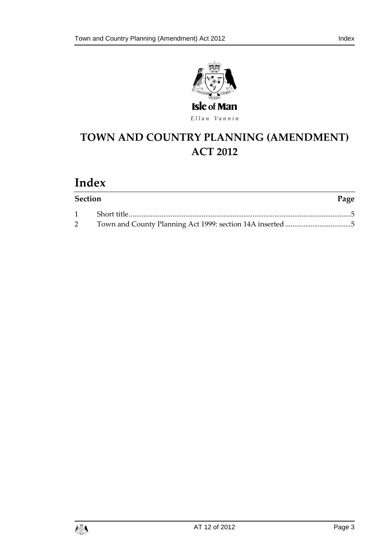

# **TOWN AND COUNTRY PLANNING (AMEN DMENT) ACT 2012**

# **Index**

| <b>Section</b> | Page |
|----------------|------|
|                |      |
|                |      |

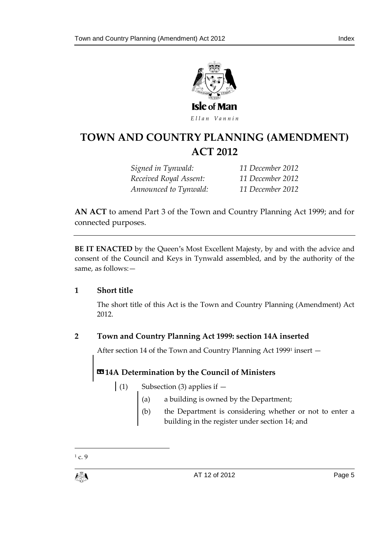

### **TOWN AND COUNTRY PLA NNING (AMENDMENT) ACT 2012**

*Signed in Tynwald: 11 December 2012 Received Royal Assent: 11 December 2012 Announced to Tynwald: 11 December 2012*

**AN ACT** to amend Part 3 of the Town and Country Planning Act 1999; and for connected purposes.

**BE IT ENACTED** by the Queen's Most Excellent Majesty, by and with the advice and consent of the Council and Keys in Tynwald assembled, and by the authority of the same, as follows:—

#### <span id="page-4-0"></span>**1 Short title**

The short title of this Act is the Town and Country Planning (Amendment) Act 2012.

### <span id="page-4-1"></span>**2 Town and Country Planning Act 1999: section 14A inserted**

After section 14 of the Town and Country Planning Act 1999<sup>1</sup> insert —

### **«14A Determination by the Council of Ministers**

- (1) Subsection (3) applies if  $-$ 
	- (a) a building is owned by the Department;
	- (b) the Department is considering whether or not to enter a building in the register under section 14; and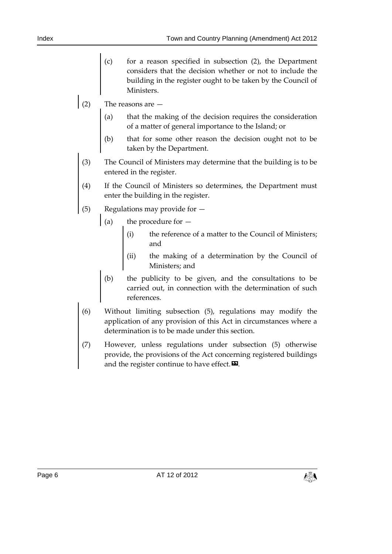- (c) for a reason specified in subsection (2), the Department considers that the decision whether or not to include the building in the register ought to be taken by the Council of Ministers.
- (2) The reasons are  $-$ 
	- (a) that the making of the decision requires the consideration of a matter of general importance to the Island; or
	- (b) that for some other reason the decision ought not to be taken by the Department.
- (3) The Council of Ministers may determine that the building is to be entered in the register.
- (4) If the Council of Ministers so determines, the Department must enter the building in the register.
- (5) Regulations may provide for
	- (a) the procedure for  $-$ 
		- (i) the reference of a matter to the Council of Ministers; and
		- (ii) the making of a determination by the Council of Ministers; and
		- (b) the publicity to be given, and the consultations to be carried out, in connection with the determination of such references.
- (6) Without limiting subsection (5), regulations may modify the application of any provision of this Act in circumstances where a determination is to be made under this section.
- (7) However, unless regulations under subsection (5) otherwise provide, the provisions of the Act concerning registered buildings and the register continue to have effect. $\mathbf{E}$ .